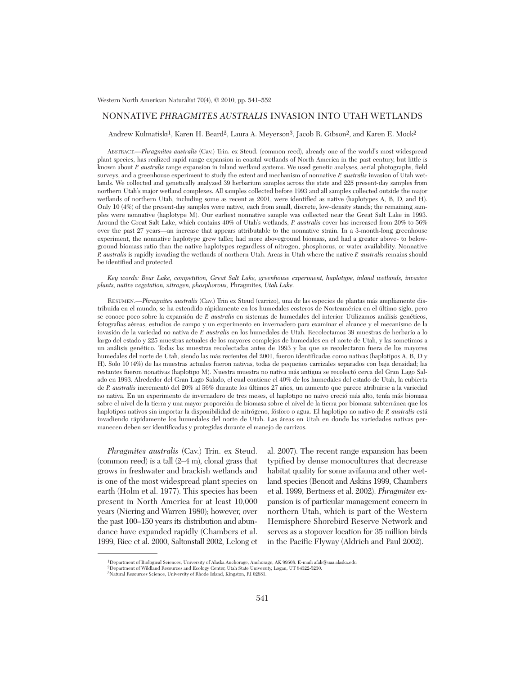# NONNATIVE *PHRAGMITES AUSTRALIS* INVASION INTO UTAH WETLANDS

Andrew Kulmatiski<sup>1</sup>, Karen H. Beard<sup>2</sup>, Laura A. Meyerson<sup>3</sup>, Jacob R. Gibson<sup>2</sup>, and Karen E. Mock<sup>2</sup>

ABSTRACT.—*Phragmites australis* (Cav.) Trin. ex Steud. (common reed), already one of the world's most widespread plant species, has realized rapid range expansion in coastal wetlands of North America in the past century, but little is known about *P. australis* range expansion in inland wetland systems. We used genetic analyses, aerial photographs, field surveys, and a greenhouse experiment to study the extent and mechanism of nonnative *P. australis* invasion of Utah wetlands. We collected and genetically analyzed 39 herbarium samples across the state and 225 present-day samples from northern Utah's major wetland complexes. All samples collected before 1993 and all samples collected outside the major wetlands of northern Utah, including some as recent as 2001, were identified as native (haplotypes A, B, D, and H). Only 10 (4%) of the present-day samples were native, each from small, discrete, low-density stands; the remaining samples were nonnative (haplotype M). Our earliest nonnative sample was collected near the Great Salt Lake in 1993. Around the Great Salt Lake, which contains 40% of Utah's wetlands, *P. australis* cover has increased from 20% to 56% over the past 27 years—an increase that appears attributable to the nonnative strain. In a 3-month-long greenhouse experiment, the nonnative haplotype grew taller, had more aboveground biomass, and had a greater above- to belowground biomass ratio than the native haplotypes regardless of nitrogen, phosphorus, or water availability. Nonnative *P. australis* is rapidly invading the wetlands of northern Utah. Areas in Utah where the native *P. australis* remains should be identified and protected.

#### *Key words: Bear Lake, competition, Great Salt Lake, greenhouse experiment, haplotype, inland wetlands, invasive plants, native vegetation, nitrogen, phosphorous,* Phragmites*, Utah Lake.*

RESUMEN.—*Phragmites australis* (Cav.) Trin ex Steud (carrizo), una de las especies de plantas más ampliamente distribuida en el mundo, se ha extendido rápidamente en los humedales costeros de Norteamérica en el último siglo, pero se conoce poco sobre la expansión de *P. australis* en sistemas de humedales del interior. Utilizamos análisis genéticos, fotografías aéreas, estudios de campo y un experimento en invernadero para examinar el alcance y el mecanismo de la invasión de la variedad no nativa de *P. australis* en los humedales de Utah. Recolectamos 39 muestras de herbario a lo largo del estado y 225 muestras actuales de los mayores complejos de humedales en el norte de Utah, y las sometimos a un análisis genético. Todas las muestras recolectadas antes de 1993 y las que se recolectaron fuera de los mayores humedales del norte de Utah, siendo las más recientes del 2001, fueron identificadas como nativas (haplotipos A, B, D y H). Solo 10 (4%) de las muestras actuales fueron nativas, todas de pequeños carrizales separados con baja densidad; las restantes fueron nonativas (haplotipo M). Nuestra muestra no nativa más antigua se recolectó cerca del Gran Lago Salado en 1993. Alrededor del Gran Lago Salado, el cual contiene el 40% de los humedales del estado de Utah, la cubierta de *P. australis* incrementó del 20% al 56% durante los últimos 27 años, un aumento que parece atribuirse a la variedad no nativa. En un experimento de invernadero de tres meses, el haplotipo no naivo creció más alto, tenía más biomasa sobre el nivel de la tierra y una mayor proporción de biomasa sobre el nivel de la tierra por biomasa subterránea que los haplotipos nativos sin importar la disponibilidad de nitrógeno, fósforo o agua. El haplotipo no nativo de *P. australis* está invadiendo rápidamente los humedales del norte de Utah. Las áreas en Utah en donde las variedades nativas permanecen deben ser identificadas y protegidas durante el manejo de carrizos.

*Phragmites australis* (Cav.) Trin. ex Steud. (common reed) is a tall (2–4 m), clonal grass that grows in freshwater and brackish wetlands and is one of the most widespread plant species on earth (Holm et al. 1977). This species has been present in North America for at least 10,000 years (Niering and Warren 1980); however, over the past 100–150 years its distribution and abundance have expanded rapidly (Chambers et al. 1999, Rice et al. 2000, Saltonstall 2002, Lelong et

al. 2007). The recent range expansion has been typified by dense monocultures that decrease habitat quality for some avifauna and other wetland species (Benoit and Askins 1999, Chambers et al. 1999, Bertness et al. 2002). *Phragmites* expansion is of particular management concern in northern Utah, which is part of the Western Hemisphere Shorebird Reserve Network and serves as a stopover location for 35 million birds in the Pacific Flyway (Aldrich and Paul 2002).

<sup>1</sup>Department of Biological Sciences, University of Alaska Anchorage, Anchorage, AK 99508. E-mail: afak@uaa.alaska.edu

<sup>2</sup>Department of Wildland Resources and Ecology Center, Utah State University, Logan, UT 84322-5230. 3Natural Resources Science, University of Rhode Island, Kingston, RI 02881.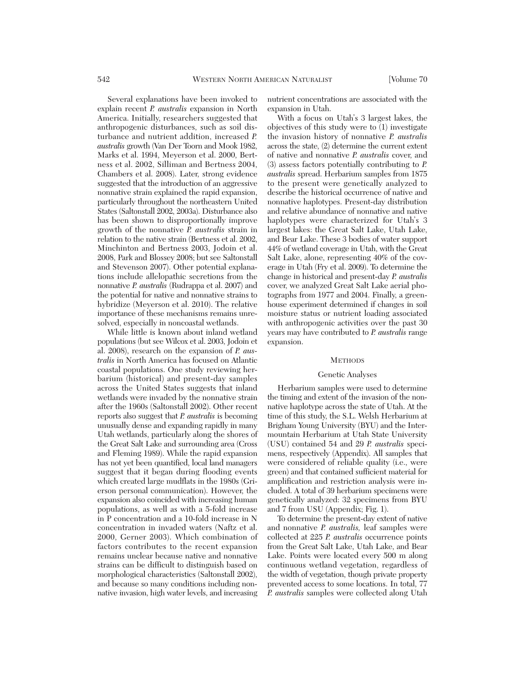Several explanations have been invoked to explain recent *P. australis* expansion in North America. Initially, researchers suggested that anthropogenic disturbances, such as soil disturbance and nutrient addition, increased *P. australis* growth (Van Der Toorn and Mook 1982, Marks et al. 1994, Meyerson et al. 2000, Bertness et al. 2002, Silliman and Bertness 2004, Chambers et al. 2008). Later, strong evidence suggested that the introduction of an aggressive nonnative strain explained the rapid expansion, particularly throughout the northeastern United States (Saltonstall 2002, 2003a). Disturbance also has been shown to disproportionally improve growth of the nonnative *P. australis* strain in relation to the native strain (Bertness et al. 2002, Minchinton and Bertness 2003, Jodoin et al. 2008, Park and Blossey 2008; but see Saltonstall and Stevenson 2007). Other potential explanations include allelopathic secretions from the nonnative *P. australis* (Rudrappa et al. 2007) and the potential for native and nonnative strains to hybridize (Meyerson et al. 2010). The relative importance of these mechanisms remains unresolved, especially in noncoastal wetlands.

While little is known about inland wetland populations (but see Wilcox et al. 2003, Jodoin et al. 2008), research on the expansion of *P. australis* in North America has focused on Atlantic coastal populations. One study reviewing her barium (historical) and present-day samples across the United States suggests that inland wetlands were invaded by the nonnative strain after the 1960s (Saltonstall 2002). Other recent reports also suggest that *P. australis* is becoming unusually dense and expanding rapidly in many Utah wetlands, particularly along the shores of the Great Salt Lake and surrounding area (Cross and Fleming 1989). While the rapid expansion has not yet been quantified, local land managers suggest that it began during flooding events which created large mudflats in the 1980s (Grierson personal communication). However, the expansion also coincided with increasing human populations, as well as with a 5-fold increase in P concentration and a 10-fold increase in N concentration in invaded waters (Naftz et al. 2000, Gerner 2003). Which combination of factors contributes to the recent expansion remains unclear because native and nonnative strains can be difficult to distinguish based on morphological characteristics (Saltonstall 2002), and because so many conditions including nonnative invasion, high water levels, and increasing nutrient concentrations are associated with the expansion in Utah.

With a focus on Utah's 3 largest lakes, the objectives of this study were to (1) investigate the invasion history of nonnative *P. australis* across the state, (2) determine the current extent of native and nonnative *P. australis* cover, and (3) assess factors potentially contributing to *P. australis* spread. Herbarium samples from 1875 to the present were genetically analyzed to describe the historical occurrence of native and nonnative haplotypes. Present-day distribution and relative abundance of nonnative and native haplotypes were characterized for Utah's 3 largest lakes: the Great Salt Lake, Utah Lake, and Bear Lake. These 3 bodies of water support 44% of wetland coverage in Utah, with the Great Salt Lake, alone, representing 40% of the coverage in Utah (Fry et al. 2009). To determine the change in historical and present-day *P. australis* cover, we analyzed Great Salt Lake aerial photographs from 1977 and 2004. Finally, a green house experiment determined if changes in soil moisture status or nutrient loading associated with anthropogenic activities over the past 30 years may have contributed to *P. australis* range expansion.

#### **METHODS**

#### Genetic Analyses

Herbarium samples were used to determine the timing and extent of the invasion of the nonnative haplotype across the state of Utah. At the time of this study, the S.L. Welsh Herbarium at Brigham Young University (BYU) and the Intermountain Herbarium at Utah State University (USU) contained 54 and 29 *P. australis* specimens, respectively (Appendix). All samples that were considered of reliable quality (i.e., were green) and that contained sufficient material for amplification and restriction analysis were in cluded. A total of 39 herbarium specimens were genetically analyzed: 32 specimens from BYU and 7 from USU (Appendix; Fig. 1).

To determine the present-day extent of native and nonnative *P. australis,* leaf samples were collected at 225 *P. australis* occurrence points from the Great Salt Lake, Utah Lake, and Bear Lake. Points were located every 500 m along continuous wetland vegetation, regardless of the width of vegetation, though private property prevented access to some locations. In total, 77 *P. australis* samples were collected along Utah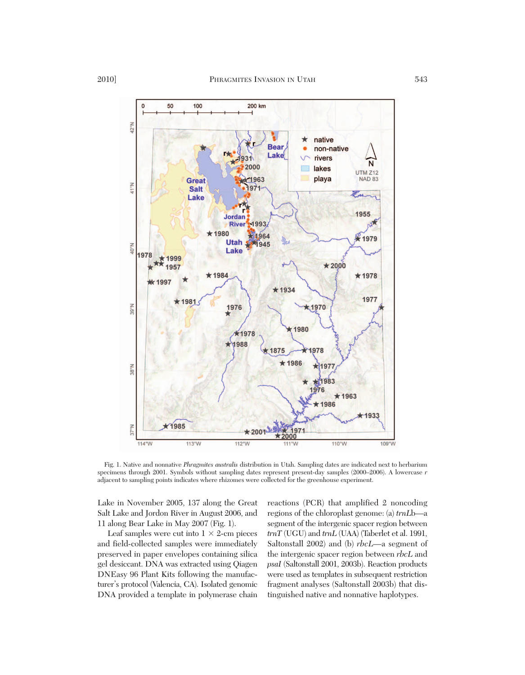

Fig. 1. Native and nonnative *Phragmites australis* distribution in Utah. Sampling dates are indicated next to herbarium specimens through 2001. Symbols without sampling dates represent present-day samples (2000–2006). A lowercase *r* adjacent to sampling points indicates where rhizomes were collected for the greenhouse experiment.

Lake in November 2005, 137 along the Great Salt Lake and Jordon River in August 2006, and 11 along Bear Lake in May 2007 (Fig. 1).

Leaf samples were cut into  $1 \times 2$ -cm pieces and field-collected samples were immediately preserved in paper envelopes containing silica gel desiccant. DNA was extracted using Qiagen DNEasy 96 Plant Kits following the manufacturer's protocol (Valencia, CA). Isolated genomic DNA provided a template in polymerase chain

reactions (PCR) that amplified 2 noncoding regions of the chloroplast genome: (a) *trnL*b—a segment of the intergenic spacer region between *trnT* (UGU) and *trnL* (UAA) (Taberlet et al. 1991, Saltonstall 2002) and (b) *rbcL*—a segment of the intergenic spacer region between *rbcL* and *psaI* (Saltonstall 2001, 2003b). Reaction products were used as templates in subsequent restriction fragment analyses (Saltonstall 2003b) that distinguished native and nonnative haplotypes.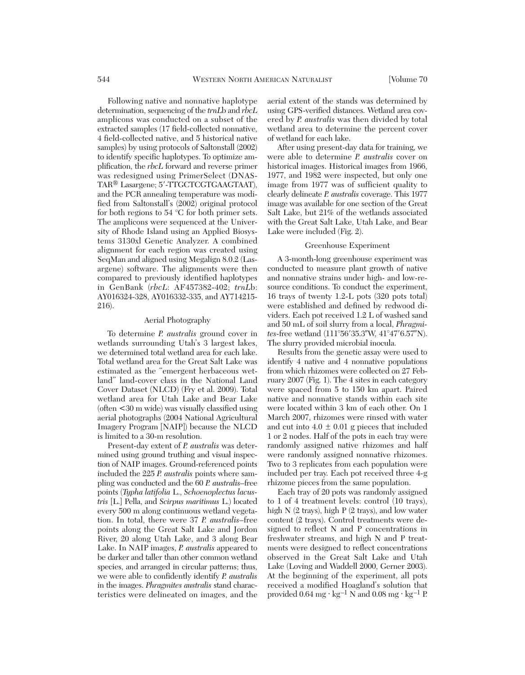Following native and nonnative haplotype determination, sequencing of the *trnL*b and *rbcL* amplicons was conducted on a subset of the extracted samples (17 field-collected nonnative, 4 field-collected native, and 5 historical native samples) by using protocols of Saltonstall (2002) to identify specific haplotypes. To optimize amplification, the *rbcL* forward and reverse primer was redesigned using PrimerSelect (DNAS-TAR<sup>®</sup> Lasargene; 5'-TTGCTCGTGAAGTAAT), and the PCR annealing temperature was modified from Saltonstall's (2002) original protocol for both regions to  $54^{\circ}$ C for both primer sets. The amplicons were sequenced at the University of Rhode Island using an Applied Biosystems 3130xl Genetic Analyzer. A combined alignment for each region was created using SeqMan and aligned using Megalign 8.0.2 (Lasargene) software. The alignments were then compared to previously identified haplotypes in GenBank (*rbcL*: AF457382-402; *trnL*b: AY016324- 328, AY016332-335, and AY714215- 216).

## Aerial Photography

To determine *P. australis* ground cover in wetlands surrounding Utah's 3 largest lakes, we determined total wetland area for each lake. Total wetland area for the Great Salt Lake was estimated as the "emergent herbaceous wetland" land-cover class in the National Land Cover Dataset (NLCD) (Fry et al. 2009). Total wetland area for Utah Lake and Bear Lake (often <30 m wide) was visually classified using aerial photographs (2004 National Agricultural Imagery Program [NAIP]) because the NLCD is limited to a 30-m resolution.

Present-day extent of *P. australis* was deter mined using ground truthing and visual inspection of NAIP images. Ground-referenced points included the 225 *P. australis* points where sampling was conducted and the 60 *P. australis*–free points (*Typha latifolia* L., *Schoenoplectus lacustris* [L.] Pella, and *Scirpus maritimus* L.) located every 500 m along continuous wetland vegetation. In total, there were 37 *P. australis*–free points along the Great Salt Lake and Jordon River, 20 along Utah Lake, and 3 along Bear Lake. In NAIP images, *P. australis* appeared to be darker and taller than other common wetland species, and arranged in circular patterns; thus, we were able to confidently identify *P. australis* in the images. *Phragmites australis* stand characteristics were delineated on images, and the

aerial extent of the stands was determined by using GPS-verified distances. Wetland area covered by *P. australis* was then divided by total wetland area to determine the percent cover of wetland for each lake.

After using present-day data for training, we were able to determine *P. australis* cover on historical images. Historical images from 1966, 1977, and 1982 were inspected, but only one image from 1977 was of sufficient quality to clearly delineate *P. australis* coverage. This 1977 image was available for one section of the Great Salt Lake, but 21% of the wetlands associated with the Great Salt Lake, Utah Lake, and Bear Lake were included (Fig. 2).

## Greenhouse Experiment

A 3-month-long greenhouse experiment was conducted to measure plant growth of native and nonnative strains under high- and low-re source conditions. To conduct the experiment, 16 trays of twenty 1.2-L pots (320 pots total) were established and defined by redwood dividers. Each pot received 1.2 L of washed sand and 50 mL of soil slurry from a local, *Phragmi tes*-free wetland (111°56'35.3"W, 41°47'6.57"N). The slurry provided microbial inocula.

Results from the genetic assay were used to identify 4 native and 4 nonnative populations from which rhizomes were collected on 27 February 2007 (Fig. 1). The 4 sites in each category were spaced from 5 to 150 km apart. Paired native and nonnative stands within each site were located within 3 km of each other. On 1 March 2007, rhizomes were rinsed with water and cut into  $4.0 \pm 0.01$  g pieces that included 1 or 2 nodes. Half of the pots in each tray were randomly assigned native rhizomes and half were randomly assigned nonnative rhizomes. Two to 3 replicates from each population were included per tray. Each pot received three 4-g rhizome pieces from the same population.

Each tray of 20 pots was randomly assigned to 1 of 4 treatment levels: control (10 trays), high N (2 trays), high P (2 trays), and low water content (2 trays). Control treatments were de signed to reflect N and P concentrations in freshwater streams, and high N and P treatments were designed to reflect concentrations observed in the Great Salt Lake and Utah Lake (Loving and Waddell 2000, Gerner 2003). At the beginning of the experiment, all pots received a modified Hoagland's solution that provided  $0.64 \text{ mg} \cdot \text{kg}^{-1}$  N and  $0.08 \text{ mg} \cdot \text{kg}^{-1}$  P.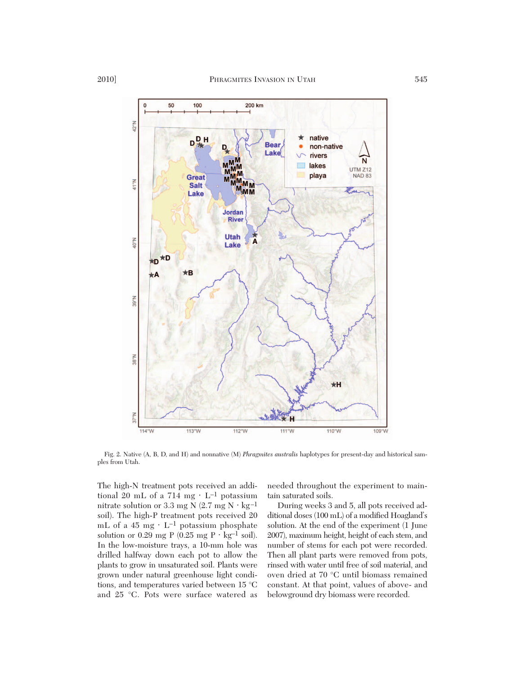

Fig. 2. Native (A, B, D, and H) and nonnative (M) *Phragmites australis* haplotypes for present-day and historical samples from Utah.

The high-N treatment pots received an additional 20 mL of a 714 mg ⋅ L–1 potassium nitrate solution or 3.3 mg N (2.7 mg N  $\cdot$  kg<sup>-1</sup> soil). The high-P treatment pots received 20 mL of a 45 mg  $\cdot$  L<sup>-1</sup> potassium phosphate solution or 0.29 mg P  $(0.25 \text{ mg P} \cdot \text{kg}^{-1} \text{ soil}).$ In the low-moisture trays, a 10-mm hole was drilled halfway down each pot to allow the plants to grow in unsaturated soil. Plants were grown under natural greenhouse light conditions, and temperatures varied between 15 °C and 25 °C. Pots were surface watered as needed throughout the experiment to maintain saturated soils.

During weeks 3 and 5, all pots received ad ditional doses (100 mL) of a modified Hoagland's solution. At the end of the experiment (1 June 2007), maximum height, height of each stem, and number of stems for each pot were recorded. Then all plant parts were removed from pots, rinsed with water until free of soil material, and oven dried at 70 °C until biomass remained constant. At that point, values of above- and belowground dry biomass were recorded.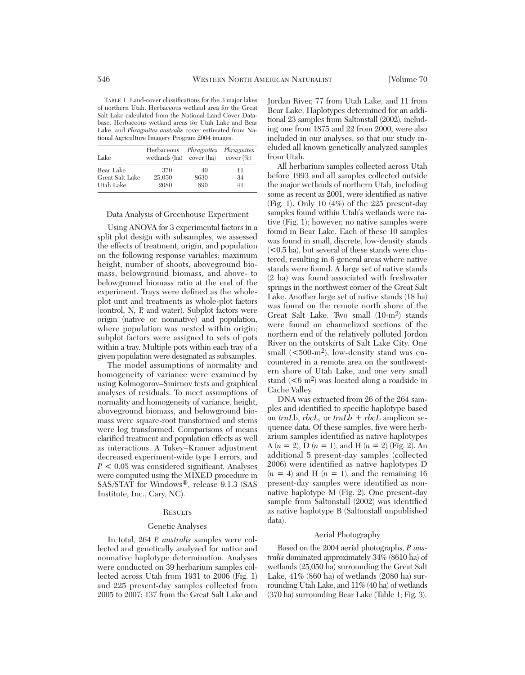TABLE 1. Land-cover classifications for the 3 major lakes of northern Utah. Herbaceous wetland area for the Great Salt Lake calculated from the National Land Cover Database. Herbaceous wetland areas for Utah Lake and Bear Lake, and *Phragmites australis* cover estimated from National Agriculture Imagery Program 2004 images.

| Lake            | Herbaceous<br>wetlands (ha) | Phragmites Phragmites<br>cover $(ha)$ cover $(\%)$ |    |
|-----------------|-----------------------------|----------------------------------------------------|----|
| Bear Lake       | 370                         | 40                                                 | 11 |
| Great Salt Lake | 25,050                      | 8630                                               | 34 |
| Utah Lake       | 2080                        | 890                                                | 41 |

# Data Analysis of Greenhouse Experiment

Using ANOVA for 3 experimental factors in a split plot design with subsamples, we assessed the effects of treatment, origin, and population on the following response variables: maximum height, number of shoots, aboveground biomass, belowground biomass, and above- to belowground biomass ratio at the end of the experiment. Trays were defined as the wholeplot unit and treatments as whole-plot factors (control, N, P, and water). Subplot factors were origin (native or nonnative) and population, where population was nested within origin; subplot factors were assigned to sets of pots within a tray. Multiple pots within each tray of a given population were designated as subsamples.

The model assumptions of normality and homogeneity of variance were examined by using Kolmogorov–Smirnov tests and graphical analyses of residuals. To meet assumptions of normality and homogeneity of variance, height, aboveground biomass, and belowground biomass were square-root transformed and stems were log transformed. Comparisons of means clarified treatment and population effects as well as interactions. A Tukey–Kramer adjustment decreased experiment-wide type I errors, and *P* < 0.05 was considered significant. Analyses were computed using the MIXED procedure in SAS/STAT for Windows®, release 9.1.3 (SAS Institute, Inc., Cary, NC).

#### **RESULTS**

#### Genetic Analyses

In total, 264 *P. australis* samples were collected and genetically analyzed for native and nonnative haplotype determination. Analyses were conducted on 39 herbarium samples collected across Utah from 1931 to 2006 (Fig. 1) and 225 present-day samples collected from 2005 to 2007: 137 from the Great Salt Lake and Jordan River, 77 from Utah Lake, and 11 from Bear Lake. Haplotypes determined for an additional 23 samples from Saltonstall (2002), including one from 1875 and 22 from 2000, were also included in our analyses, so that our study included all known genetically analyzed samples from Utah.

All herbarium samples collected across Utah before 1993 and all samples collected outside the major wetlands of northern Utah, including some as recent as 2001, were identified as native (Fig. 1). Only 10 (4%) of the 225 present-day samples found within Utah's wetlands were native (Fig. 1); however, no native samples were found in Bear Lake. Each of these 10 samples was found in small, discrete, low-density stands  $(< 0.5$  ha), but several of these stands were clustered, resulting in 6 general areas where native stands were found. A large set of native stands (2 ha) was found associated with freshwater springs in the northwest corner of the Great Salt Lake. Another large set of native stands (18 ha) was found on the remote north shore of the Great Salt Lake. Two small (10-m2) stands were found on channelized sections of the northern end of the relatively polluted Jordon River on the outskirts of Salt Lake City. One small  $(<500-m<sup>2</sup>)$ , low-density stand was encountered in a remote area on the southwestern shore of Utah Lake, and one very small stand  $(< 6 \text{ m}^2$ ) was located along a roadside in Cache Valley.

DNA was extracted from 26 of the 264 samples and identified to specific haplotype based on  $trnLb$ ,  $rbcL$ , or  $trnLb + rbcL$  amplicon sequence data. Of these samples, five were herbarium samples identified as native haplotypes A  $(n = 2)$ , D  $(n = 1)$ , and H  $(n = 2)$  (Fig. 2). An additional 5 present-day samples (collected 2006) were identified as native haplotypes D  $(n = 4)$  and H  $(n = 1)$ , and the remaining 16 present-day samples were identified as non native haplotype M (Fig. 2). One present-day sample from Saltonstall (2002) was identified as native haplotype B (Saltonstall unpublished data).

## Aerial Photography

Based on the 2004 aerial photographs, *P. australis* dominated approximately 34% (8610 ha) of wetlands (25,050 ha) surrounding the Great Salt Lake, 41% (860 ha) of wetlands (2080 ha) surrounding Utah Lake, and 11% (40 ha) of wetlands (370 ha) surrounding Bear Lake (Table 1; Fig. 3).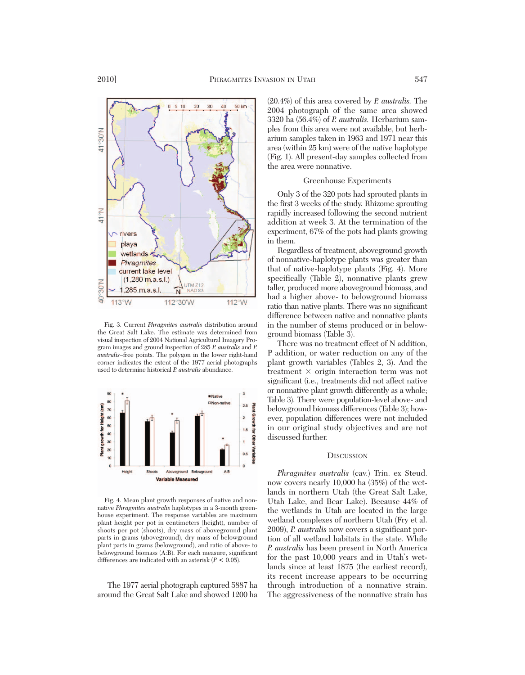

Fig. 3. Current *Phragmites australis* distribution around the Great Salt Lake. The estimate was determined from visual inspection of 2004 National Agricultural Imagery Program images and ground inspection of 285 *P. australis* and *P. australis*–free points. The polygon in the lower right-hand corner indicates the extent of the 1977 aerial photographs used to determine historical *P. australis* abundance.



Fig. 4. Mean plant growth responses of native and nonnative *Phragmites australis* haplotypes in a 3-month green house experiment. The response variables are maximum plant height per pot in centimeters (height), number of shoots per pot (shoots), dry mass of aboveground plant parts in grams (aboveground), dry mass of belowground plant parts in grams (belowground), and ratio of above- to belowground biomass (A:B). For each measure, significant differences are indicated with an asterisk (*P* < 0.05).

The 1977 aerial photograph captured 5887 ha around the Great Salt Lake and showed 1200 ha

(20.4%) of this area covered by *P. australis.* The 2004 photograph of the same area showed 3320 ha (56.4%) of *P. australis.* Herbarium sam ples from this area were not available, but herbarium samples taken in 1963 and 1971 near this area (within 25 km) were of the native haplotype (Fig. 1). All present-day samples collected from the area were nonnative.

## Greenhouse Experiments

Only 3 of the 320 pots had sprouted plants in the first 3 weeks of the study. Rhizome sprouting rapidly increased following the second nutrient addition at week 3. At the termination of the experiment, 67% of the pots had plants growing in them.

Regardless of treatment, aboveground growth of nonnative-haplotype plants was greater than that of native-haplotype plants (Fig. 4). More specifically (Table 2), nonnative plants grew taller, produced more aboveground biomass, and had a higher above- to belowground biomass ratio than native plants. There was no significant difference between native and nonnative plants in the number of stems produced or in belowground biomass (Table 3).

There was no treatment effect of N addition, P addition, or water reduction on any of the plant growth variables (Tables 2, 3). And the treatment  $\times$  origin interaction term was not significant (i.e., treatments did not affect native or nonnative plant growth differently as a whole; Table 3). There were population-level above- and belowground biomass differences (Table 3); however, population differences were not included in our original study objectives and are not discussed further.

### **DISCUSSION**

*Phragmites australis* (cav.) Trin. ex Steud. now covers nearly 10,000 ha (35%) of the wetlands in northern Utah (the Great Salt Lake, Utah Lake, and Bear Lake). Because 44% of the wetlands in Utah are located in the large wetland complexes of northern Utah (Fry et al. 2009), *P. australis* now covers a significant portion of all wetland habitats in the state. While *P. australis* has been present in North America for the past 10,000 years and in Utah's wetlands since at least 1875 (the earliest record), its recent increase appears to be occurring through introduction of a nonnative strain. The aggressiveness of the nonnative strain has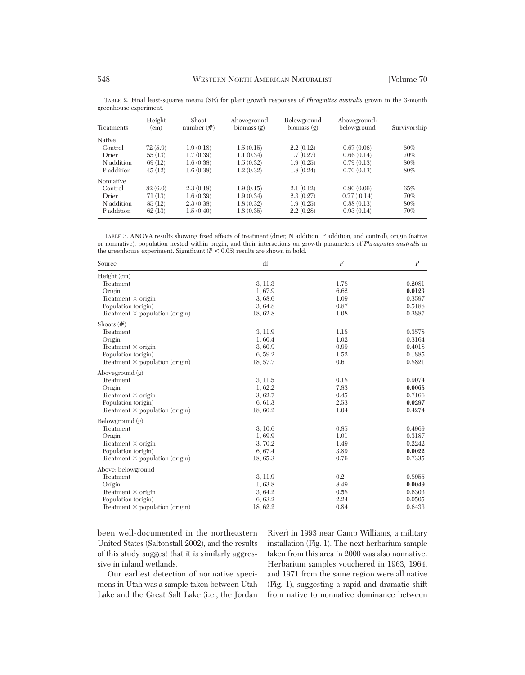| <b>Treatments</b> | Height<br>(cm) | Shoot<br>number $(\#)$ | Aboveground<br>biomass $(g)$ | Belowground<br>biomass $(g)$ | Aboveground:<br>belowground | Survivorship |
|-------------------|----------------|------------------------|------------------------------|------------------------------|-----------------------------|--------------|
| Native            |                |                        |                              |                              |                             |              |
| Control           | 72(5.9)        | 1.9(0.18)              | 1.5(0.15)                    | 2.2(0.12)                    | 0.67(0.06)                  | 60%          |
| Drier             | 55(13)         | 1.7(0.39)              | 1.1(0.34)                    | 1.7(0.27)                    | 0.66(0.14)                  | 70%          |
| N addition        | 69(12)         | 1.6(0.38)              | 1.5(0.32)                    | 1.9(0.25)                    | 0.79(0.13)                  | 80%          |
| P addition        | 45(12)         | 1.6(0.38)              | 1.2(0.32)                    | 1.8(0.24)                    | 0.70(0.13)                  | 80%          |
| Nonnative         |                |                        |                              |                              |                             |              |
| Control           | 82(6.0)        | 2.3(0.18)              | 1.9(0.15)                    | 2.1(0.12)                    | 0.90(0.06)                  | 65%          |
| Drier             | 71(13)         | 1.6(0.39)              | 1.9(0.34)                    | 2.3(0.27)                    | 0.77(0.14)                  | 70%          |
| N addition        | 85(12)         | 2.3(0.38)              | 1.8(0.32)                    | 1.9(0.25)                    | 0.88(0.13)                  | 80%          |
| P addition        | 62(13)         | 1.5(0.40)              | 1.8(0.35)                    | 2.2(0.28)                    | 0.93(0.14)                  | 70%          |

TABLE 2. Final least-squares means (SE) for plant growth responses of *Phragmites australis* grown in the 3-month greenhouse experiment.

TABLE 3. ANOVA results showing fixed effects of treatment (drier, N addition, P addition, and control), origin (native or nonnative), population nested within origin, and their interactions on growth parameters of *Phragmites australis* in the greenhouse experiment. Significant  $(P < 0.05)$  results are shown in bold.

| Source                                 | df       | $\boldsymbol{F}$ | $\boldsymbol{P}$ |
|----------------------------------------|----------|------------------|------------------|
| Height (cm)                            |          |                  |                  |
| Treatment                              | 3, 11.3  | 1.78             | 0.2081           |
| Origin                                 | 1,67.9   | 6.62             | 0.0123           |
| Treatment $\times$ origin              | 3,68.6   | 1.09             | 0.3597           |
| Population (origin)                    | 3,64.8   | 0.87             | 0.5188           |
| Treatment $\times$ population (origin) | 18, 62.8 | 1.08             | 0.3887           |
| Shoots $(\#)$                          |          |                  |                  |
| Treatment                              | 3, 11.9  | 1.18             | 0.3578           |
| Origin                                 | 1,60.4   | 1.02             | 0.3164           |
| Treatment $\times$ origin              | 3,60.9   | 0.99             | 0.4018           |
| Population (origin)                    | 6,59.2   | 1.52             | 0.1885           |
| Treatment $\times$ population (origin) | 18, 57.7 | 0.6              | 0.8821           |
| Aboveground (g)                        |          |                  |                  |
| Treatment                              | 3, 11.5  | 0.18             | 0.9074           |
| Origin                                 | 1, 62.2  | 7.83             | 0.0068           |
| Treatment $\times$ origin              | 3, 62.7  | 0.45             | 0.7166           |
| Population (origin)                    | 6, 61.3  | 2.53             | 0.0297           |
| Treatment $\times$ population (origin) | 18, 60.2 | 1.04             | 0.4274           |
| Belowground $(g)$                      |          |                  |                  |
| Treatment                              | 3, 10.6  | 0.85             | 0.4969           |
| Origin                                 | 1,69.9   | 1.01             | 0.3187           |
| Treatment $\times$ origin              | 3, 70.2  | 1.49             | 0.2242           |
| Population (origin)                    | 6, 67.4  | 3.89             | 0.0022           |
| Treatment $\times$ population (origin) | 18, 65.3 | 0.76             | 0.7335           |
| Above: belowground                     |          |                  |                  |
| Treatment                              | 3, 11.9  | 0.2              | 0.8955           |
| Origin                                 | 1,63.8   | 8.49             | 0.0049           |
| Treatment $\times$ origin              | 3,64.2   | 0.58             | 0.6303           |
| Population (origin)                    | 6, 63.2  | 2.24             | 0.0505           |
| Treatment $\times$ population (origin) | 18, 62.2 | 0.84             | 0.6433           |

been well-documented in the northeastern United States (Saltonstall 2002), and the results of this study suggest that it is similarly aggressive in inland wetlands.

Our earliest detection of nonnative specimens in Utah was a sample taken between Utah Lake and the Great Salt Lake (i.e., the Jordan

River) in 1993 near Camp Williams, a military installation (Fig. 1). The next herbarium sample taken from this area in 2000 was also nonnative. Herbarium samples vouchered in 1963, 1964, and 1971 from the same region were all native (Fig. 1), suggesting a rapid and dramatic shift from native to nonnative dominance between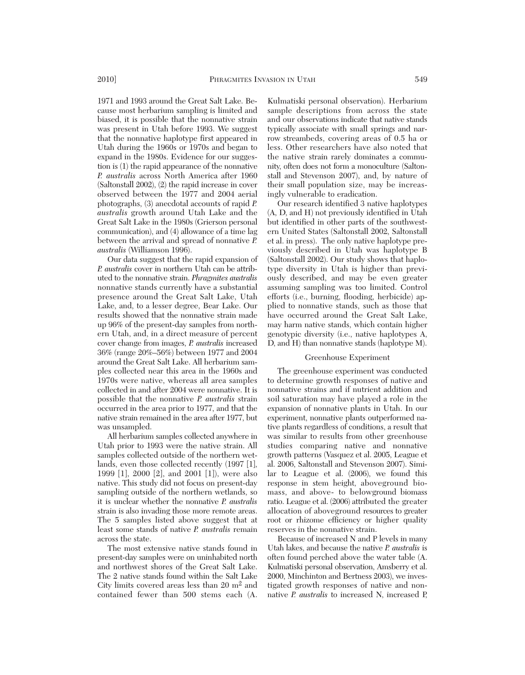1971 and 1993 around the Great Salt Lake. Because most herbarium sampling is limited and biased, it is possible that the nonnative strain was present in Utah before 1993. We suggest that the nonnative haplotype first appeared in Utah during the 1960s or 1970s and began to expand in the 1980s. Evidence for our suggestion is (1) the rapid appearance of the nonnative *P. australis* across North America after 1960 (Saltonstall 2002), (2) the rapid increase in cover observed between the 1977 and 2004 aerial photographs, (3) anecdotal accounts of rapid *P. australis* growth around Utah Lake and the Great Salt Lake in the 1980s (Grierson personal communication), and (4) allowance of a time lag between the arrival and spread of nonnative *P. australis* (Williamson 1996).

Our data suggest that the rapid expansion of *P. australis* cover in northern Utah can be attributed to the nonnative strain. *Phragmites australis* nonnative stands currently have a substantial presence around the Great Salt Lake, Utah Lake, and, to a lesser degree, Bear Lake. Our results showed that the nonnative strain made up 96% of the present-day samples from north ern Utah, and, in a direct measure of percent cover change from images, *P. australis* increased 36% (range 20%–56%) between 1977 and 2004 around the Great Salt Lake. All herbarium sam ples collected near this area in the 1960s and 1970s were native, whereas all area samples collected in and after 2004 were nonnative. It is possible that the nonnative *P. australis* strain occurred in the area prior to 1977, and that the native strain remained in the area after 1977, but was unsampled.

All herbarium samples collected anywhere in Utah prior to 1993 were the native strain. All samples collected outside of the northern wetlands, even those collected recently (1997 [1], 1999 [1], 2000 [2], and 2001 [1]), were also native. This study did not focus on present-day sampling outside of the northern wetlands, so it is unclear whether the nonnative *P. australis* strain is also invading those more remote areas. The 5 samples listed above suggest that at least some stands of native *P. australis* remain across the state.

The most extensive native stands found in present-day samples were on uninhabited north and northwest shores of the Great Salt Lake. The 2 native stands found within the Salt Lake City limits covered areas less than 20 m2 and contained fewer than 500 stems each (A.

Kulmatiski personal observation). Herbarium sample descriptions from across the state and our observations indicate that native stands typically associate with small springs and narrow streambeds, covering areas of 0.5 ha or less. Other researchers have also noted that the native strain rarely dominates a community, often does not form a monoculture (Saltonstall and Stevenson 2007), and, by nature of their small population size, may be increasingly vulnerable to eradication.

Our research identified 3 native haplotypes (A, D, and H) not previously identified in Utah but identified in other parts of the southwestern United States (Saltonstall 2002, Saltonstall et al. in press). The only native haplotype previously described in Utah was haplotype B (Saltonstall 2002). Our study shows that haplotype diversity in Utah is higher than previously described, and may be even greater assuming sampling was too limited. Control efforts (i.e., burning, flooding, herbicide) ap plied to nonnative stands, such as those that have occurred around the Great Salt Lake, may harm native stands, which contain higher genotypic diversity (i.e., native haplotypes A, D, and H) than nonnative stands (haplotype M).

# Greenhouse Experiment

The greenhouse experiment was conducted to determine growth responses of native and nonnative strains and if nutrient addition and soil saturation may have played a role in the expansion of nonnative plants in Utah. In our experiment, nonnative plants outperformed native plants regardless of conditions, a result that was similar to results from other greenhouse studies comparing native and nonnative growth patterns (Vasquez et al. 2005, League et al. 2006, Saltonstall and Stevenson 2007). Similar to League et al. (2006), we found this response in stem height, aboveground biomass, and above- to belowground biomass ratio. League et al. (2006) attributed the greater allocation of aboveground resources to greater root or rhizome efficiency or higher quality reserves in the nonnative strain.

Because of increased N and P levels in many Utah lakes, and because the native *P. australis* is often found perched above the water table (A. Kulmatiski personal observation, Amsberry et al. 2000, Minchinton and Bertness 2003), we investigated growth responses of native and nonnative *P. australis* to increased N, increased P,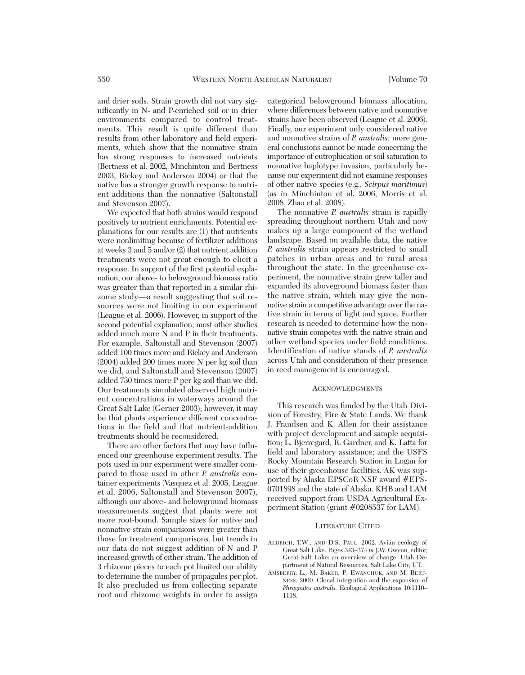and drier soils. Strain growth did not vary significantly in N- and P-enriched soil or in drier environments compared to control treatments. This result is quite different than results from other laboratory and field experiments, which show that the nonnative strain has strong responses to increased nutrients (Bertness et al. 2002, Minchinton and Bertness 2003, Rickey and Anderson 2004) or that the native has a stronger growth response to nutrient additions than the nonnative (Saltonstall and Stevenson 2007).

We expected that both strains would respond positively to nutrient enrichments. Potential explanations for our results are (1) that nutrients were nonlimiting because of fertilizer additions at weeks 3 and 5 and/or (2) that nutrient addition treatments were not great enough to elicit a response. In support of the first potential explanation, our above- to belowground biomass ratio was greater than that reported in a similar rhizome study—a result suggesting that soil resources were not limiting in our experiment (League et al. 2006). However, in support of the second potential explanation, most other studies added much more N and P in their treatments. For example, Saltonstall and Stevenson (2007) added 100 times more and Rickey and Anderson (2004) added 200 times more N per kg soil than we did, and Saltonstall and Stevenson (2007) added 730 times more P per kg soil than we did. Our treatments simulated observed high nutrient concentrations in waterways around the Great Salt Lake (Gerner 2003); however, it may be that plants experience different concentrations in the field and that nutrient-addition treatments should be reconsidered.

There are other factors that may have influenced our greenhouse experiment results. The pots used in our experiment were smaller com pared to those used in other *P. australis* container experiments (Vasquez et al. 2005, League et al. 2006, Saltonstall and Stevenson 2007), although our above- and belowground biomass measurements suggest that plants were not more root-bound. Sample sizes for native and nonnative strain comparisons were greater than those for treatment comparisons, but trends in our data do not suggest addition of N and P increased growth of either strain. The addition of 3 rhizome pieces to each pot limited our ability to determine the number of propagules per plot. It also precluded us from collecting separate root and rhizome weights in order to assign

categorical belowground biomass allocation, where differences between native and nonnative strains have been observed (League et al. 2006). Finally, our experiment only considered native and nonnative strains of *P. australis*; more general conclusions cannot be made concerning the importance of eutrophication or soil saturation to nonnative haplotype invasion, particularly be cause our experiment did not examine responses of other native species (e.g., *Scirpus maritimus*) (as in Minchinton et al. 2006, Morris et al. 2008, Zhao et al. 2008).

The nonnative *P. australis* strain is rapidly spreading throughout northern Utah and now makes up a large component of the wetland landscape. Based on available data, the native *P. australis* strain appears restricted to small patches in urban areas and to rural areas throughout the state. In the greenhouse experiment, the nonnative strain grew taller and expanded its aboveground biomass faster than the native strain, which may give the nonnative strain a competitive advantage over the native strain in terms of light and space. Further research is needed to determine how the nonnative strain competes with the native strain and other wetland species under field conditions. Identification of native stands of *P. australis* across Utah and consideration of their presence in reed management is encouraged.

### ACKNOWLEDGMENTS

This research was funded by the Utah Division of Forestry, Fire & State Lands. We thank J. Frandsen and K. Allen for their assistance with project development and sample acquisition; L. Bjerregard, R. Gardner, and K. Latta for field and laboratory assistance; and the USFS Rocky Mountain Research Station in Logan for use of their greenhouse facilities. AK was supported by Alaska EPSCoR NSF award #EPS-0701898 and the state of Alaska. KHB and LAM received support from USDA Agricultural Ex periment Station (grant #0208537 for LAM).

### LITERATURE CITED

- ALDRICH, T.W., AND D.S. PAUL. 2002. Avian ecology of Great Salt Lake. Pages 343–374 *in* J.W. Gwynn, editor, Great Salt Lake: an overview of change. Utah De partment of Natural Resources, Salt Lake City, UT.
- AMSBERRY, L., M. BAKER, P. EWANCHUK, AND M. BERT-NESS. 2000. Clonal integration and the expansion of *Phragmites australis.* Ecological Applications 10:1110– 1118.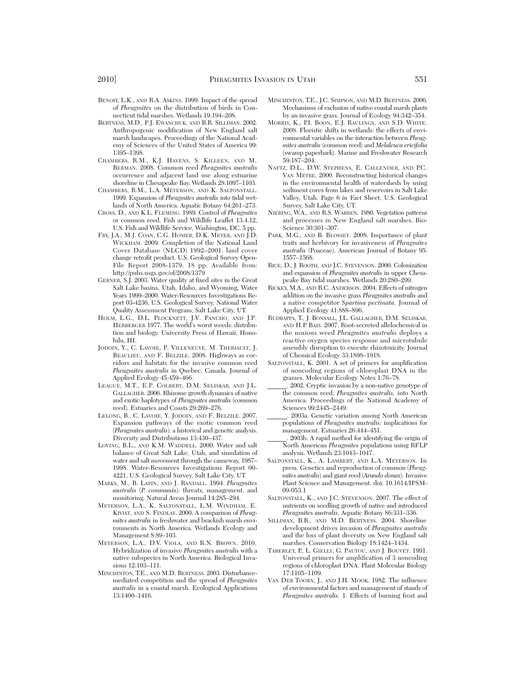- BENOIT, L.K., AND R.A. ASKINS. 1999. Impact of the spread of *Phragmites* on the distribution of birds in Connecticut tidal marshes. Wetlands 19:194–208.
- BERTNESS, M.D., P.J. EWANCHUK, AND B.R. SILLIMAN. 2002. Anthropogenic modification of New England salt marsh landscapes. Proceedings of the National Academy of Sciences of the United States of America 99: 1395–1398.
- CHAMBERS, R.M., K.J. HAVENS, S. KILLEEN, AND M. BERMAN. 2008. Common reed *Phragmites australis* occurrence and adjacent land use along estuarine shoreline in Chesapeake Bay. Wetlands 28:1097–1103.
- CHAMBERS, R.M., L.A. MEYERSON, AND K. SALTONSTALL. 1999. Expansion of *Phragmites australis* into tidal wetlands of North America. Aquatic Botany 64:261–273.
- CROSS, D., AND K.L. FLEMING. 1989. Control of *Phragmites* or common reed. Fish and Wildlife Leaflet 13.4.12, U.S. Fish and Wildlife Service, Washington, DC. 5 pp.
- FRY, J.A., M.J. COAN, C.G. HOMER, D.K. MEYER, AND J.D. WICKHAM. 2009. Completion of the National Land Cover Database (NLCD) 1992–2001: land cover change retrofit product. U.S. Geological Survey Open-File Report 2008-1379. 18 pp. Available from: http://pubs.usgs.gov/of/2008/1379
- GERNER, S.J. 2003. Water quality at fixed sites in the Great Salt Lake basins, Utah, Idaho, and Wyoming, Water Years 1999–2000. Water-Resources Investigations Report 03-4236, U.S. Geological Survey, National Water Quality Assessment Program, Salt Lake City, UT.
- HOLM, L.G., D.L. PLOCKNETT, J.V. PANCHO, AND J.P. HERBERGER 1977. The world's worst weeds: distribution and biology. University Press of Hawaii, Honolulu, HI.
- JODOIN, Y., C. LAVOIE, P. VILLENEUVE, M. THERIAULT, J. BEAULIEU, AND F. BELZILE. 2008. Highways as corridors and habitats for the invasive common reed *Phragmites australis* in Quebec, Canada. Journal of Applied Ecology 45:459–466.
- LEAGUE, M.T., E.P. COLBERT, D.M. SELISKAR, AND I.L. GALLAGHER. 2006. Rhizome growth dynamics of native and exotic haplotypes of *Phragmites australis* (common reed). Estuaries and Coasts 29:269–276.
- LELONG, B., C. LAVOIE, Y. JODOIN, AND F. BELZILE. 2007. Expansion pathways of the exotic common reed (*Phragmites australis*): a historical and genetic analysis. Diversity and Distributions 13:430–437.
- LOVING, B.L., AND K.M. WADDELL. 2000. Water and salt balance of Great Salt Lake, Utah, and simulation of water and salt movement through the causeway, 1987– 1998. Water-Resources Investigations Report 00- 4221, U.S. Geological Survey, Salt Lake City, UT.
- MARKS, M., B. LAPIN, AND J. RANDALL. 1994. *Phragmites australis* (*P. communis*): threats, management, and monitoring. Natural Areas Journal 14:285–294.
- MEYERSON, L.A., K. SALTONSTALL, L.M. WINDHAM, E. KIVIAT, AND S. FINDLAY. 2000. A comparison of *Phragmites australis* in freshwater and brackish marsh environments in North America. Wetlands Ecology and Management 8:89–103.
- MEYERSON, L.A., D.V. VIOLA, AND R.N. BROWN. 2010. Hybridization of invasive *Phragmites australis* with a native subspecies in North America. Biological Invasions 12:103–111.
- MINCHINTON, T.E., AND M.D. BERTNESS. 2003. Disturbancemediated competition and the spread of *Phragmites australis* in a coastal marsh. Ecological Applications 13:1400–1416.
- MINCHINTON, T.E., J.C. SIMPSON, AND M.D. BERTNESS. 2006. Mechanisms of exclusion of native coastal marsh plants by an invasive grass. Journal of Ecology 94:342–354.
- MORRIS, K., P.I. BOON, E.J. RAULINGS, AND S.D. WHITE. 2008. Floristic shifts in wetlands: the effects of environmental variables on the interaction between *Phrag mites australis* (common reed) and *Melaleuca ericifolia* (swamp paperbark). Marine and Freshwater Research 59:187–204.
- NAFTZ, D.L., D.W. STEPHENS, E. CALLENDER, AND P.C. VAN METRE. 2000. Reconstructing historical changes in the environmental health of watersheds by using sediment cores from lakes and reservoirs in Salt Lake Valley, Utah. Page 6 *in* Fact Sheet, U.S. Geological Survey, Salt Lake City, UT.
- NIERING, W.A., AND R.S. WARREN. 1980. Vegetation patterns and processes in New England salt marshes. Bio-Science 30:301–307.
- PARK, M.G., AND B. BLOSSEY. 2008. Importance of plant traits and herbivory for invasiveness of *Phragmites australis* (Poaceae). American Journal of Botany 95: 1557–1568.
- RICE, D., J. ROOTH, AND J.C. STEVENSON. 2000. Colonization and expansion of *Phragmites australis* in upper Chesapeake Bay tidal marshes. Wetlands 20:280–299.
- RICKEY, M.A., AND R.C. ANDERSON. 2004. Effects of nitrogen addition on the invasive grass *Phragmites australis* and a native competitor *Spartina pectinata.* Journal of Applied Ecology 41:888–896.
- RUDRAPPA, T., J. BONSALL, J.L. GALLAGHER, D.M. SELISKAR, AND H.P. BAIS. 2007. Root-secreted allelochemical in the noxious weed *Phragmites australis* deploys a reactive oxygen species response and microtubule assembly disruption to execute rhizotoxicity. Journal of Chemical Ecology 33:1898–1918.
- SALTONSTALL, K. 2001. A set of primers for amplification of noncoding regions of chloroplast DNA in the grasses. Molecular Ecology Notes 1:76–78.
- \_\_\_\_\_\_. 2002. Cryptic invasion by a non-native genotype of the common reed, *Phragmites australis,* into North America. Proceedings of the National Academy of Sciences 99:2445–2449.
- \_\_\_\_\_\_. 2003a. Genetic variation among North American populations of *Phragmites australis:* implications for management. Estuaries 26:444–451.
- \_\_\_\_\_\_. 2003b. A rapid method for identifying the origin of North American *Phragmites* populations using RFLP analysis. Wetlands 23:1043–1047.
- SALTONSTALL, K., A. LAMBERT, AND L.A. MEYERSON. In press. Genetics and reproduction of common (*Phrag mites australis*) and giant reed (*Arundo donax*). Invasive Plant Science and Management. doi: 10.1614/IPSM-09-053.1
- SALTONSTALL, K., AND J.C. STEVENSON. 2007. The effect of nutrients on seedling growth of native and introduced *Phragmites australis.* Aquatic Botany 86:331–336.
- SILLIMAN, B.R., AND M.D. BERTNESS. 2004. Shoreline development drives invasion of *Phragmites australis* and the loss of plant diversity on New England salt marshes. Conservation Biology 18:1424–1434.
- TABERLET, P., L. GIELLY, G. PAUTOU, AND J. BOUVET. 1991. Universal primers for amplification of 3 noncoding regions of chloroplast DNA. Plant Molecular Biology 17:1105–1109.
- VAN DER TOORN, J., AND J.H. MOOK. 1982. The influence of environmental factors and management of stands of *Phragmites australis.* 1. Effects of burning frost and